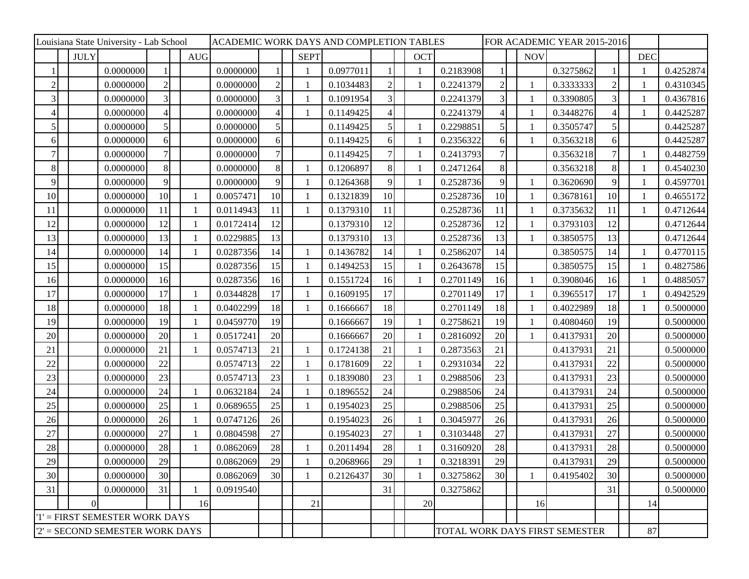|                                  |             | Louisiana State University - Lab School |                 |     | ACADEMIC WORK DAYS AND COMPLETION TABLES |                |  |              |           |                |  |            | FOR ACADEMIC YEAR 2015-2016 |                                |  |              |           |                |  |            |           |
|----------------------------------|-------------|-----------------------------------------|-----------------|-----|------------------------------------------|----------------|--|--------------|-----------|----------------|--|------------|-----------------------------|--------------------------------|--|--------------|-----------|----------------|--|------------|-----------|
|                                  | <b>JULY</b> |                                         |                 | AUG |                                          |                |  | <b>SEPT</b>  |           |                |  | <b>OCT</b> |                             |                                |  | <b>NOV</b>   |           |                |  | <b>DEC</b> |           |
|                                  |             | 0.0000000                               |                 |     | 0.0000000                                |                |  |              | 0.0977011 |                |  |            | 0.2183908                   |                                |  |              | 0.3275862 |                |  |            | 0.4252874 |
| $\overline{2}$                   |             | 0.0000000                               | $\overline{2}$  |     | 0.0000000                                | $\overline{c}$ |  |              | 0.1034483 | $\overline{c}$ |  |            | 0.2241379                   | $\mathbf{2}$                   |  | $\mathbf{1}$ | 0.3333333 | $\mathfrak{2}$ |  |            | 0.4310345 |
| 3                                |             | 0.0000000                               | $\overline{3}$  |     | 0.0000000                                | 3              |  |              | 0.1091954 | 3              |  |            | 0.2241379                   | 3                              |  | 1            | 0.3390805 | 3              |  |            | 0.4367816 |
| $\Delta$                         |             | 0.0000000                               | $\overline{4}$  |     | 0.0000000                                | 4              |  |              | 0.1149425 | 4              |  |            | 0.2241379                   |                                |  |              | 0.3448276 | $\overline{4}$ |  |            | 0.4425287 |
|                                  |             | 0.0000000                               | 5               |     | 0.0000000                                | $\mathfrak{S}$ |  |              | 0.1149425 | 5              |  |            | 0.2298851                   | $\mathfrak{S}$                 |  |              | 0.3505747 | $\mathfrak{S}$ |  |            | 0.4425287 |
| 6                                |             | 0.0000000                               | 6               |     | 0.0000000                                | $6 \mid$       |  |              | 0.1149425 | 6              |  |            | 0.2356322                   | 6                              |  | $\mathbf{1}$ | 0.3563218 | 6              |  |            | 0.4425287 |
| 7                                |             | 0.0000000                               | 7               |     | 0.0000000                                | 7              |  |              | 0.1149425 |                |  |            | 0.2413793                   | 7                              |  |              | 0.3563218 |                |  |            | 0.4482759 |
| 8                                |             | 0.0000000                               | 8 <sup>1</sup>  |     | 0.0000000                                | 8              |  |              | 0.1206897 | 8              |  |            | 0.2471264                   | 8                              |  |              | 0.3563218 | 8              |  |            | 0.4540230 |
| 9                                |             | 0.0000000                               | 9               |     | 0.0000000                                | 9              |  |              | 0.1264368 | 9              |  |            | 0.2528736                   | 9                              |  | 1            | 0.3620690 | 9              |  |            | 0.4597701 |
| 10                               |             | 0.0000000                               | 10 <sup>1</sup> | -1  | 0.0057471                                | 10             |  | $\mathbf{1}$ | 0.1321839 | 10             |  |            | 0.2528736                   | 10                             |  | 1            | 0.3678161 | 10             |  |            | 0.4655172 |
| 11                               |             | 0.0000000                               | 11              |     | 0.0114943                                | 11             |  | -1           | 0.1379310 | 11             |  |            | 0.2528736                   | 11                             |  | 1            | 0.3735632 | 11             |  |            | 0.4712644 |
| 12                               |             | 0.0000000                               | 12              |     | 0.0172414                                | 12             |  |              | 0.1379310 | 12             |  |            | 0.2528736                   | 12                             |  | $\mathbf{1}$ | 0.3793103 | 12             |  |            | 0.4712644 |
| 13                               |             | 0.0000000                               | 13              |     | 0.0229885                                | 13             |  |              | 0.1379310 | 13             |  |            | 0.2528736                   | 13                             |  | 1            | 0.3850575 | 13             |  |            | 0.4712644 |
| 14                               |             | 0.0000000                               | 14              | -1  | 0.0287356                                | 14             |  |              | 0.1436782 | 14             |  |            | 0.2586207                   | 14                             |  |              | 0.3850575 | 14             |  |            | 0.4770115 |
| 15                               |             | 0.0000000                               | 15              |     | 0.0287356                                | 15             |  |              | 0.1494253 | 15             |  |            | 0.2643678                   | 15                             |  |              | 0.3850575 | 15             |  |            | 0.4827586 |
| 16                               |             | 0.0000000                               | 16              |     | 0.0287356                                | 16             |  |              | 0.1551724 | 16             |  |            | 0.2701149                   | 16                             |  | 1            | 0.3908046 | 16             |  |            | 0.4885057 |
| 17                               |             | 0.0000000                               | 17              |     | 0.0344828                                | 17             |  |              | 0.1609195 | 17             |  |            | 0.2701149                   | 17                             |  | $\mathbf{1}$ | 0.3965517 | 17             |  |            | 0.4942529 |
| 18                               |             | 0.0000000                               | 18              |     | 0.0402299                                | 18             |  |              | 0.1666667 | 18             |  |            | 0.2701149                   | 18                             |  |              | 0.4022989 | 18             |  |            | 0.5000000 |
| 19                               |             | 0.0000000                               | 19              | 1   | 0.0459770                                | 19             |  |              | 0.1666667 | 19             |  |            | 0.2758621                   | 19                             |  | $\mathbf{1}$ | 0.4080460 | 19             |  |            | 0.5000000 |
| 20                               |             | 0.0000000                               | 20              |     | 0.0517241                                | 20             |  |              | 0.1666667 | 20             |  |            | 0.2816092                   | 20                             |  | -1           | 0.4137931 | 20             |  |            | 0.5000000 |
| 21                               |             | 0.0000000                               | 21              | 1   | 0.0574713                                | 21             |  | $\mathbf{1}$ | 0.1724138 | 21             |  |            | 0.2873563                   | 21                             |  |              | 0.4137931 | 21             |  |            | 0.5000000 |
| 22                               |             | 0.0000000                               | 22              |     | 0.0574713                                | 22             |  | -1           | 0.1781609 | 22             |  |            | 0.2931034                   | 22                             |  |              | 0.4137931 | 22             |  |            | 0.5000000 |
| 23                               |             | 0.0000000                               | 23              |     | 0.0574713                                | 23             |  | $\mathbf{1}$ | 0.1839080 | 23             |  |            | 0.2988506                   | 23                             |  |              | 0.4137931 | 23             |  |            | 0.5000000 |
| 24                               |             | 0.0000000                               | 24              |     | 0.0632184                                | 24             |  |              | 0.1896552 | 24             |  |            | 0.2988506                   | 24                             |  |              | 0.4137931 | 24             |  |            | 0.5000000 |
| 25                               |             | 0.0000000                               | 25              |     | 0.0689655                                | 25             |  |              | 0.1954023 | 25             |  |            | 0.2988506                   | 25                             |  |              | 0.4137931 | $25\,$         |  |            | 0.5000000 |
| 26                               |             | 0.0000000                               | 26              |     | 0.0747126                                | 26             |  |              | 0.1954023 | 26             |  |            | 0.3045977                   | 26                             |  |              | 0.4137931 | 26             |  |            | 0.5000000 |
| 27                               |             | 0.0000000                               | 27              |     | 0.0804598                                | 27             |  |              | 0.1954023 | 27             |  |            | 0.3103448                   | $27\,$                         |  |              | 0.4137931 | $27\,$         |  |            | 0.5000000 |
| 28                               |             | 0.0000000                               | 28              |     | 0.0862069                                | 28             |  |              | 0.2011494 | 28             |  |            | 0.3160920                   | 28                             |  |              | 0.4137931 | 28             |  |            | 0.5000000 |
| 29                               |             | 0.0000000                               | 29              |     | 0.0862069                                | 29             |  |              | 0.2068966 | 29             |  |            | 0.3218391                   | 29                             |  |              | 0.4137931 | 29             |  |            | 0.5000000 |
| 30                               |             | 0.0000000                               | 30              |     | 0.0862069                                | 30             |  |              | 0.2126437 | 30             |  |            | 0.3275862                   | 30                             |  | $\mathbf{1}$ | 0.4195402 | 30             |  |            | 0.5000000 |
| 31                               |             | 0.0000000                               | 31              |     | 0.0919540                                |                |  |              |           | 31             |  |            | 0.3275862                   |                                |  |              |           | 31             |  |            | 0.5000000 |
|                                  | $\vert$ 0   |                                         |                 | 16  |                                          |                |  | 21           |           |                |  | 20         |                             |                                |  | 16           |           |                |  | 14         |           |
| '1' = FIRST SEMESTER WORK DAYS   |             |                                         |                 |     |                                          |                |  |              |           |                |  |            |                             |                                |  |              |           |                |  |            |           |
| $2'$ = SECOND SEMESTER WORK DAYS |             |                                         |                 |     |                                          |                |  |              |           |                |  |            |                             | TOTAL WORK DAYS FIRST SEMESTER |  |              | 87        |                |  |            |           |